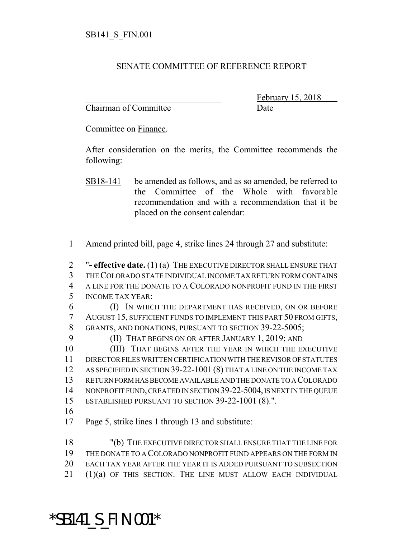## SENATE COMMITTEE OF REFERENCE REPORT

Chairman of Committee Date

February 15, 2018

Committee on Finance.

After consideration on the merits, the Committee recommends the following:

- SB18-141 be amended as follows, and as so amended, be referred to the Committee of the Whole with favorable recommendation and with a recommendation that it be placed on the consent calendar:
- Amend printed bill, page 4, strike lines 24 through 27 and substitute:

 "**- effective date.** (1) (a) THE EXECUTIVE DIRECTOR SHALL ENSURE THAT THE COLORADO STATE INDIVIDUAL INCOME TAX RETURN FORM CONTAINS A LINE FOR THE DONATE TO A COLORADO NONPROFIT FUND IN THE FIRST INCOME TAX YEAR:

 (I) IN WHICH THE DEPARTMENT HAS RECEIVED, ON OR BEFORE AUGUST 15, SUFFICIENT FUNDS TO IMPLEMENT THIS PART 50 FROM GIFTS, 8 GRANTS, AND DONATIONS, PURSUANT TO SECTION 39-22-5005;

(II) THAT BEGINS ON OR AFTER JANUARY 1, 2019; AND

 (III) THAT BEGINS AFTER THE YEAR IN WHICH THE EXECUTIVE DIRECTOR FILES WRITTEN CERTIFICATION WITH THE REVISOR OF STATUTES AS SPECIFIED IN SECTION 39-22-1001 (8) THAT A LINE ON THE INCOME TAX RETURN FORM HAS BECOME AVAILABLE AND THE DONATE TO A COLORADO NONPROFIT FUND, CREATED IN SECTION 39-22-5004, IS NEXT IN THE QUEUE ESTABLISHED PURSUANT TO SECTION 39-22-1001 (8).".

Page 5, strike lines 1 through 13 and substitute:

 "(b) THE EXECUTIVE DIRECTOR SHALL ENSURE THAT THE LINE FOR THE DONATE TO A COLORADO NONPROFIT FUND APPEARS ON THE FORM IN EACH TAX YEAR AFTER THE YEAR IT IS ADDED PURSUANT TO SUBSECTION (1)(a) OF THIS SECTION. THE LINE MUST ALLOW EACH INDIVIDUAL

## \*SB141\_S\_FIN.001\*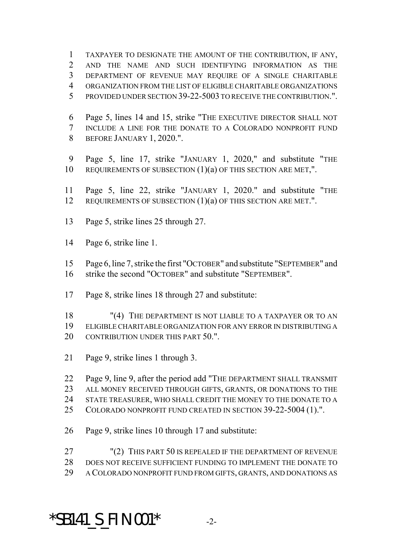TAXPAYER TO DESIGNATE THE AMOUNT OF THE CONTRIBUTION, IF ANY, AND THE NAME AND SUCH IDENTIFYING INFORMATION AS THE DEPARTMENT OF REVENUE MAY REQUIRE OF A SINGLE CHARITABLE ORGANIZATION FROM THE LIST OF ELIGIBLE CHARITABLE ORGANIZATIONS PROVIDED UNDER SECTION 39-22-5003 TO RECEIVE THE CONTRIBUTION.".

 Page 5, lines 14 and 15, strike "THE EXECUTIVE DIRECTOR SHALL NOT INCLUDE A LINE FOR THE DONATE TO A COLORADO NONPROFIT FUND BEFORE JANUARY 1, 2020.".

 Page 5, line 17, strike "JANUARY 1, 2020," and substitute "THE 10 REQUIREMENTS OF SUBSECTION  $(1)(a)$  OF THIS SECTION ARE MET,".

 Page 5, line 22, strike "JANUARY 1, 2020." and substitute "THE 12 REQUIREMENTS OF SUBSECTION (1)(a) OF THIS SECTION ARE MET.".

Page 5, strike lines 25 through 27.

Page 6, strike line 1.

 Page 6, line 7, strike the first "OCTOBER" and substitute "SEPTEMBER" and strike the second "OCTOBER" and substitute "SEPTEMBER".

Page 8, strike lines 18 through 27 and substitute:

 "(4) THE DEPARTMENT IS NOT LIABLE TO A TAXPAYER OR TO AN ELIGIBLE CHARITABLE ORGANIZATION FOR ANY ERROR IN DISTRIBUTING A 20 CONTRIBUTION UNDER THIS PART 50.".

Page 9, strike lines 1 through 3.

Page 9, line 9, after the period add "THE DEPARTMENT SHALL TRANSMIT

ALL MONEY RECEIVED THROUGH GIFTS, GRANTS, OR DONATIONS TO THE

STATE TREASURER, WHO SHALL CREDIT THE MONEY TO THE DONATE TO A

COLORADO NONPROFIT FUND CREATED IN SECTION 39-22-5004 (1).".

Page 9, strike lines 10 through 17 and substitute:

 "(2) THIS PART 50 IS REPEALED IF THE DEPARTMENT OF REVENUE DOES NOT RECEIVE SUFFICIENT FUNDING TO IMPLEMENT THE DONATE TO A COLORADO NONPROFIT FUND FROM GIFTS, GRANTS, AND DONATIONS AS

## **\*SB141\_S\_FIN.001\*** -2-